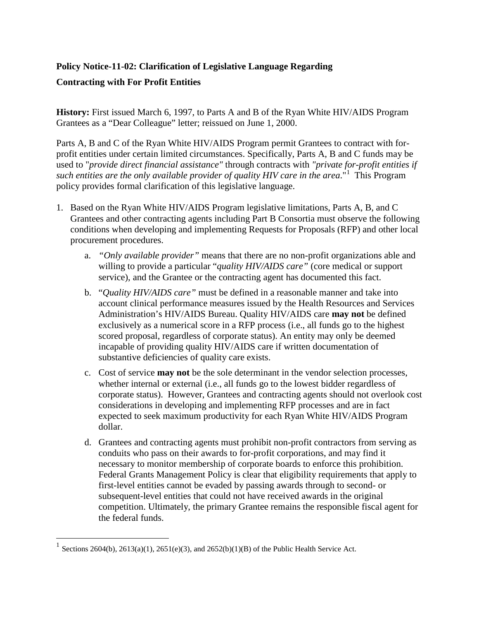## **Policy Notice-11-02: Clarification of Legislative Language Regarding Contracting with For Profit Entities**

**History:** First issued March 6, 1997, to Parts A and B of the Ryan White HIV/AIDS Program Grantees as a "Dear Colleague" letter; reissued on June 1, 2000.

Parts A, B and C of the Ryan White HIV/AIDS Program permit Grantees to contract with forprofit entities under certain limited circumstances. Specifically, Parts A, B and C funds may be used to "*provide direct financial assistance"* through contracts with *"private for-profit entities if*  such entities are the only available provider of quality HIV care in the area."<sup>[1](#page-0-0)</sup> This Program policy provides formal clarification of this legislative language.

- 1. Based on the Ryan White HIV/AIDS Program legislative limitations, Parts A, B, and C Grantees and other contracting agents including Part B Consortia must observe the following conditions when developing and implementing Requests for Proposals (RFP) and other local procurement procedures.
	- a. *"Only available provider"* means that there are no non-profit organizations able and willing to provide a particular "*quality HIV/AIDS care"* (core medical or support service), and the Grantee or the contracting agent has documented this fact.
	- b. "*Quality HIV/AIDS care"* must be defined in a reasonable manner and take into account clinical performance measures issued by the Health Resources and Services Administration's HIV/AIDS Bureau. Quality HIV/AIDS care **may not** be defined exclusively as a numerical score in a RFP process (i.e., all funds go to the highest scored proposal, regardless of corporate status). An entity may only be deemed incapable of providing quality HIV/AIDS care if written documentation of substantive deficiencies of quality care exists.
	- c. Cost of service **may not** be the sole determinant in the vendor selection processes, whether internal or external (i.e., all funds go to the lowest bidder regardless of corporate status). However, Grantees and contracting agents should not overlook cost considerations in developing and implementing RFP processes and are in fact expected to seek maximum productivity for each Ryan White HIV/AIDS Program dollar.
	- d. Grantees and contracting agents must prohibit non-profit contractors from serving as conduits who pass on their awards to for-profit corporations, and may find it necessary to monitor membership of corporate boards to enforce this prohibition. Federal Grants Management Policy is clear that eligibility requirements that apply to first-level entities cannot be evaded by passing awards through to second- or subsequent-level entities that could not have received awards in the original competition. Ultimately, the primary Grantee remains the responsible fiscal agent for the federal funds.

 $\overline{a}$ 

<span id="page-0-0"></span><sup>&</sup>lt;sup>1</sup> Sections 2604(b), 2613(a)(1), 2651(e)(3), and 2652(b)(1)(B) of the Public Health Service Act.